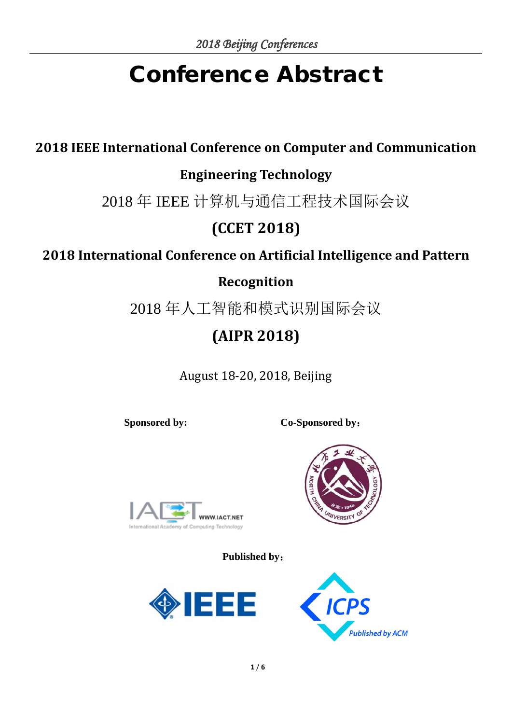# Conference Abstract

# **2018 IEEE International Conference on Computer and Communication**

### **Engineering Technology**

2018 年 IEEE 计算机与通信工程技术国际会议

# **(CCET 2018)**

## **2018 International Conference on Artificial Intelligence and Pattern**

#### **Recognition**

2018 年人工智能和模式识别国际会议

# **(AIPR 2018)**

August 18-20, 2018, Beijing

**Sponsored by: Co-Sponsored by**:



**Published by**:





**FRSI**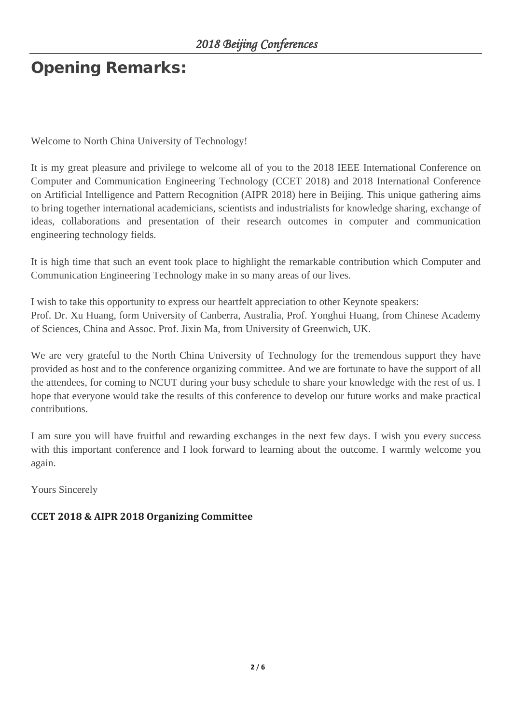# Opening Remarks:

Welcome to North China University of Technology!

It is my great pleasure and privilege to welcome all of you to the 2018 IEEE International Conference on Computer and Communication Engineering Technology (CCET 2018) and 2018 International Conference on Artificial Intelligence and Pattern Recognition (AIPR 2018) here in Beijing. This unique gathering aims to bring together international academicians, scientists and industrialists for knowledge sharing, exchange of ideas, collaborations and presentation of their research outcomes in computer and communication engineering technology fields.

It is high time that such an event took place to highlight the remarkable contribution which Computer and Communication Engineering Technology make in so many areas of our lives.

I wish to take this opportunity to express our heartfelt appreciation to other Keynote speakers: Prof. Dr. Xu Huang, form University of Canberra, Australia, Prof. Yonghui Huang, from Chinese Academy of Sciences, China and Assoc. Prof. Jixin Ma, from University of Greenwich, UK.

We are very grateful to the North China University of Technology for the tremendous support they have provided as host and to the conference organizing committee. And we are fortunate to have the support of all the attendees, for coming to NCUT during your busy schedule to share your knowledge with the rest of us. I hope that everyone would take the results of this conference to develop our future works and make practical contributions.

I am sure you will have fruitful and rewarding exchanges in the next few days. I wish you every success with this important conference and I look forward to learning about the outcome. I warmly welcome you again.

Yours Sincerely

#### **CCET 2018 & AIPR 2018 Organizing Committee**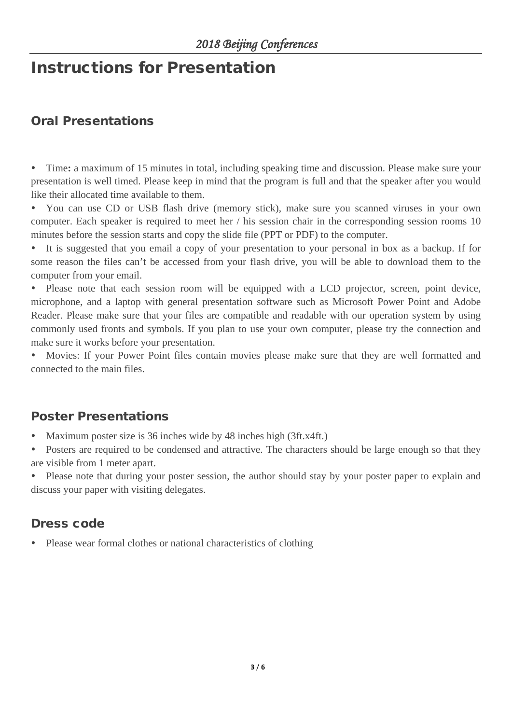# Instructions for Presentation

#### Oral Presentations

 Time**:** a maximum of 15 minutes in total, including speaking time and discussion. Please make sure your presentation is well timed. Please keep in mind that the program is full and that the speaker after you would like their allocated time available to them.

 You can use CD or USB flash drive (memory stick), make sure you scanned viruses in your own computer. Each speaker is required to meet her / his session chair in the corresponding session rooms 10 minutes before the session starts and copy the slide file (PPT or PDF) to the computer.

 It is suggested that you email a copy of your presentation to your personal in box as a backup. If for some reason the files can't be accessed from your flash drive, you will be able to download them to the computer from your email.

 Please note that each session room will be equipped with a LCD projector, screen, point device, microphone, and a laptop with general presentation software such as Microsoft Power Point and Adobe Reader. Please make sure that your files are compatible and readable with our operation system by using commonly used fronts and symbols. If you plan to use your own computer, please try the connection and make sure it works before your presentation.

 Movies: If your Power Point files contain movies please make sure that they are well formatted and connected to the main files.

#### Poster Presentations

Maximum poster size is 36 inches wide by 48 inches high (3ft.x4ft.)

 Posters are required to be condensed and attractive. The characters should be large enough so that they are visible from 1 meter apart.

• Please note that during your poster session, the author should stay by your poster paper to explain and discuss your paper with visiting delegates.

#### Dress code

Please wear formal clothes or national characteristics of clothing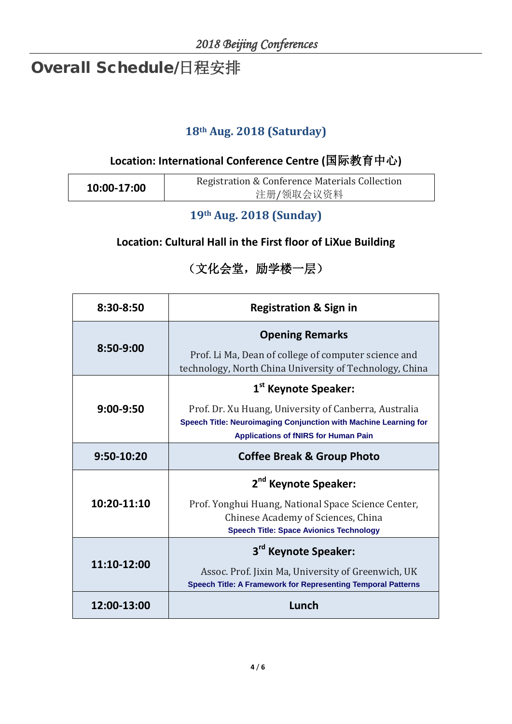# Overall Schedule/日程安排

#### **18th Aug. 2018 (Saturday)**

#### **Location: International Conference Centre (**国际教育中心**)**

| 10:00-17:00 | Registration & Conference Materials Collection |
|-------------|------------------------------------------------|
|             | 注册/领取会议资料                                      |

#### **19th Aug. 2018 (Sunday)**

#### **Location: Cultural Hall in the First floor of LiXue Building**

#### (文化会堂,励学楼一层)

| 8:30-8:50   | <b>Registration &amp; Sign in</b>                                                                                                                                        |
|-------------|--------------------------------------------------------------------------------------------------------------------------------------------------------------------------|
| 8:50-9:00   | <b>Opening Remarks</b>                                                                                                                                                   |
|             | Prof. Li Ma, Dean of college of computer science and<br>technology, North China University of Technology, China                                                          |
| 9:00-9:50   | 1 <sup>st</sup> Keynote Speaker:                                                                                                                                         |
|             | Prof. Dr. Xu Huang, University of Canberra, Australia<br>Speech Title: Neuroimaging Conjunction with Machine Learning for<br><b>Applications of fNIRS for Human Pain</b> |
| 9:50-10:20  | <b>Coffee Break &amp; Group Photo</b>                                                                                                                                    |
| 10:20-11:10 | 2 <sup>nd</sup> Keynote Speaker:                                                                                                                                         |
|             | Prof. Yonghui Huang, National Space Science Center,<br>Chinese Academy of Sciences, China<br><b>Speech Title: Space Avionics Technology</b>                              |
| 11:10-12:00 | 3 <sup>rd</sup> Keynote Speaker:                                                                                                                                         |
|             | Assoc. Prof. Jixin Ma, University of Greenwich, UK<br><b>Speech Title: A Framework for Representing Temporal Patterns</b>                                                |
| 12:00-13:00 | Lunch                                                                                                                                                                    |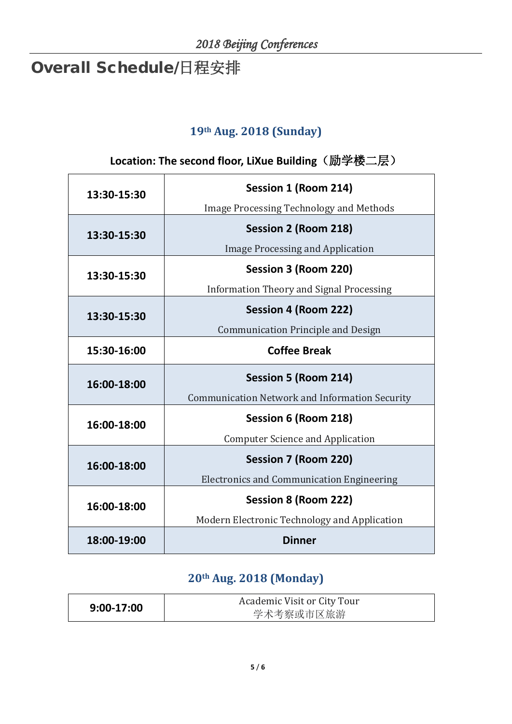# Overall Schedule/日程安排

#### **19th Aug. 2018 (Sunday)**

#### **Location: The second floor, LiXue Building**(励学楼二层)

| 13:30-15:30 | Session 1 (Room 214)                                  |
|-------------|-------------------------------------------------------|
|             | <b>Image Processing Technology and Methods</b>        |
| 13:30-15:30 | <b>Session 2 (Room 218)</b>                           |
|             | <b>Image Processing and Application</b>               |
| 13:30-15:30 | Session 3 (Room 220)                                  |
|             | <b>Information Theory and Signal Processing</b>       |
| 13:30-15:30 | Session 4 (Room 222)                                  |
|             | <b>Communication Principle and Design</b>             |
| 15:30-16:00 | <b>Coffee Break</b>                                   |
|             |                                                       |
|             | <b>Session 5 (Room 214)</b>                           |
| 16:00-18:00 | <b>Communication Network and Information Security</b> |
|             | Session 6 (Room 218)                                  |
| 16:00-18:00 | <b>Computer Science and Application</b>               |
|             | <b>Session 7 (Room 220)</b>                           |
| 16:00-18:00 | <b>Electronics and Communication Engineering</b>      |
| 16:00-18:00 | Session 8 (Room 222)                                  |
|             | Modern Electronic Technology and Application          |

#### **20th Aug. 2018 (Monday)**

| $9:00-17:00$ | Academic Visit or City Tour |
|--------------|-----------------------------|
|              | 学术考察或市区旅游                   |